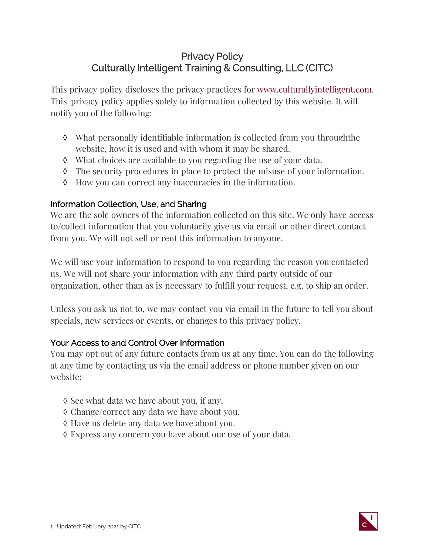# Privacy Policy Culturally Intelligent Training & Consulting, LLC (CITC)

This privacy policy discloses the privacy practices for [www.culturallyintelligent.com.](http://www.culturallyintelligent.com/) This privacy policy applies solely to information collected by this website. It will notify you of the following:

- ◊ What personally identifiable information is collected from you throughthe website, how it is used and with whom it may be shared.
- ◊ What choices are available to you regarding the use of your data.
- ◊ The security procedures in place to protect the misuse of your information.
- ◊ How you can correct any inaccuracies in the information.

## Information Collection, Use, and Sharing

We are the sole owners of the information collected on this site. We only have access to/collect information that you voluntarily give us via email or other direct contact from you. We will not sell or rent this information to anyone.

We will use your information to respond to you regarding the reason you contacted us. We will not share your information with any third party outside of our organization, other than as is necessary to fulfill your request, e.g. to ship an order.

Unless you ask us not to, we may contact you via email in the future to tell you about specials, new services or events, or changes to this privacy policy.

### Your Access to and Control Over Information

You may opt out of any future contacts from us at any time. You can do the following at any time by contacting us via the email address or phone number given on our website:

- ◊ See what data we have about you, if any.
- ◊ Change/correct any data we have about you.
- ◊ Have us delete any data we have about you.
- ◊ Express any concern you have about our use of your data.